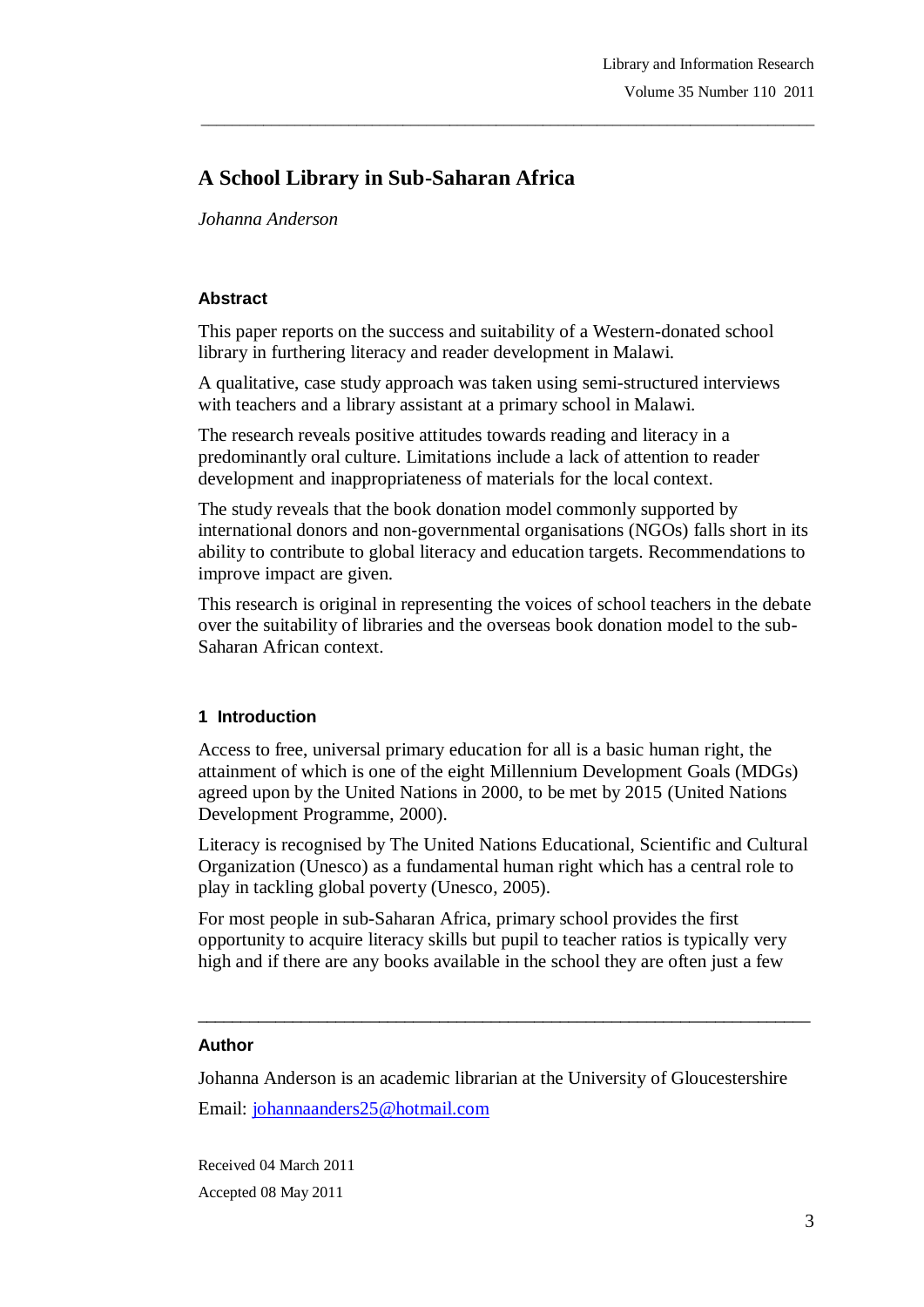# **A School Library in Sub-Saharan Africa**

*Johanna Anderson*

#### **Abstract**

This paper reports on the success and suitability of a Western-donated school library in furthering literacy and reader development in Malawi.

\_\_\_\_\_\_\_\_\_\_\_\_\_\_\_\_\_\_\_\_\_\_\_\_\_\_\_\_\_\_\_\_\_\_\_\_\_\_\_\_\_\_\_\_\_\_\_\_\_\_\_\_\_\_\_\_\_\_\_\_\_\_\_\_\_\_\_\_\_\_\_\_\_\_\_\_\_\_\_

A qualitative, case study approach was taken using semi-structured interviews with teachers and a library assistant at a primary school in Malawi.

The research reveals positive attitudes towards reading and literacy in a predominantly oral culture. Limitations include a lack of attention to reader development and inappropriateness of materials for the local context.

The study reveals that the book donation model commonly supported by international donors and non-governmental organisations (NGOs) falls short in its ability to contribute to global literacy and education targets. Recommendations to improve impact are given.

This research is original in representing the voices of school teachers in the debate over the suitability of libraries and the overseas book donation model to the sub-Saharan African context.

### **1 Introduction**

Access to free, universal primary education for all is a basic human right, the attainment of which is one of the eight Millennium Development Goals (MDGs) agreed upon by the United Nations in 2000, to be met by 2015 (United Nations Development Programme, 2000).

Literacy is recognised by The United Nations Educational, Scientific and Cultural Organization (Unesco) as a fundamental human right which has a central role to play in tackling global poverty (Unesco, 2005).

For most people in sub-Saharan Africa, primary school provides the first opportunity to acquire literacy skills but pupil to teacher ratios is typically very high and if there are any books available in the school they are often just a few

### **Author**

Johanna Anderson is an academic librarian at the University of Gloucestershire Email: johannaanders25@hotmail.com

 $\_$  ,  $\_$  ,  $\_$  ,  $\_$  ,  $\_$  ,  $\_$  ,  $\_$  ,  $\_$  ,  $\_$  ,  $\_$  ,  $\_$  ,  $\_$  ,  $\_$  ,  $\_$  ,  $\_$  ,  $\_$  ,  $\_$  ,  $\_$  ,  $\_$ 

Received 04 March 2011 Accepted 08 May 2011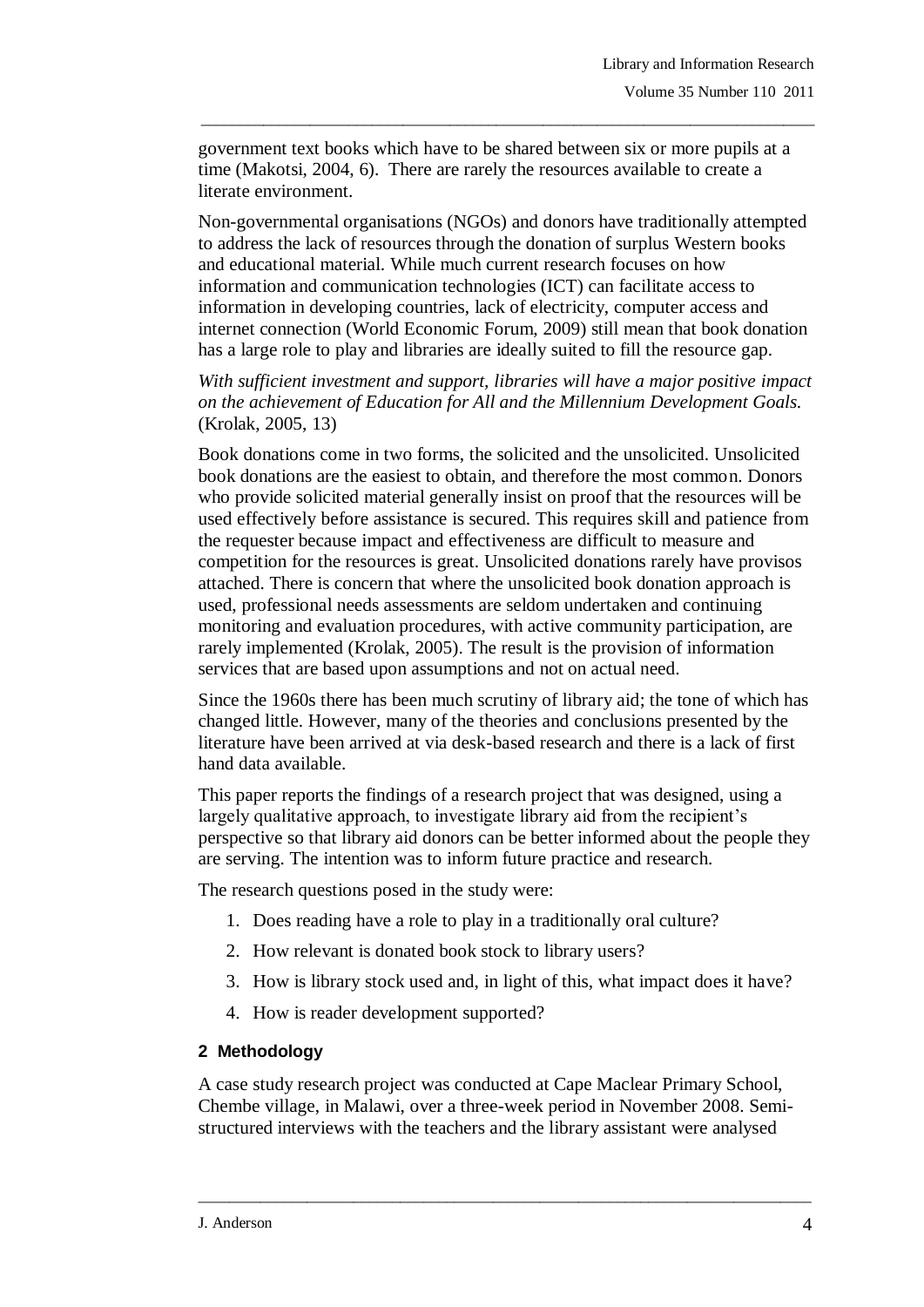government text books which have to be shared between six or more pupils at a time (Makotsi, 2004, 6). There are rarely the resources available to create a literate environment.

 $\_$  , and the set of the set of the set of the set of the set of the set of the set of the set of the set of the set of the set of the set of the set of the set of the set of the set of the set of the set of the set of th

Non-governmental organisations (NGOs) and donors have traditionally attempted to address the lack of resources through the donation of surplus Western books and educational material. While much current research focuses on how information and communication technologies (ICT) can facilitate access to information in developing countries, lack of electricity, computer access and internet connection (World Economic Forum, 2009) still mean that book donation has a large role to play and libraries are ideally suited to fill the resource gap.

*With sufficient investment and support, libraries will have a major positive impact on the achievement of Education for All and the Millennium Development Goals.* (Krolak, 2005, 13)

Book donations come in two forms, the solicited and the unsolicited. Unsolicited book donations are the easiest to obtain, and therefore the most common. Donors who provide solicited material generally insist on proof that the resources will be used effectively before assistance is secured. This requires skill and patience from the requester because impact and effectiveness are difficult to measure and competition for the resources is great. Unsolicited donations rarely have provisos attached. There is concern that where the unsolicited book donation approach is used, professional needs assessments are seldom undertaken and continuing monitoring and evaluation procedures, with active community participation, are rarely implemented (Krolak, 2005). The result is the provision of information services that are based upon assumptions and not on actual need.

Since the 1960s there has been much scrutiny of library aid; the tone of which has changed little. However, many of the theories and conclusions presented by the literature have been arrived at via desk-based research and there is a lack of first hand data available.

This paper reports the findings of a research project that was designed, using a largely qualitative approach, to investigate library aid from the recipient's perspective so that library aid donors can be better informed about the people they are serving. The intention was to inform future practice and research.

The research questions posed in the study were:

- 1. Does reading have a role to play in a traditionally oral culture?
- 2. How relevant is donated book stock to library users?
- 3. How is library stock used and, in light of this, what impact does it have?
- 4. How is reader development supported?

### **2 Methodology**

A case study research project was conducted at Cape Maclear Primary School, Chembe village, in Malawi, over a three-week period in November 2008. Semistructured interviews with the teachers and the library assistant were analysed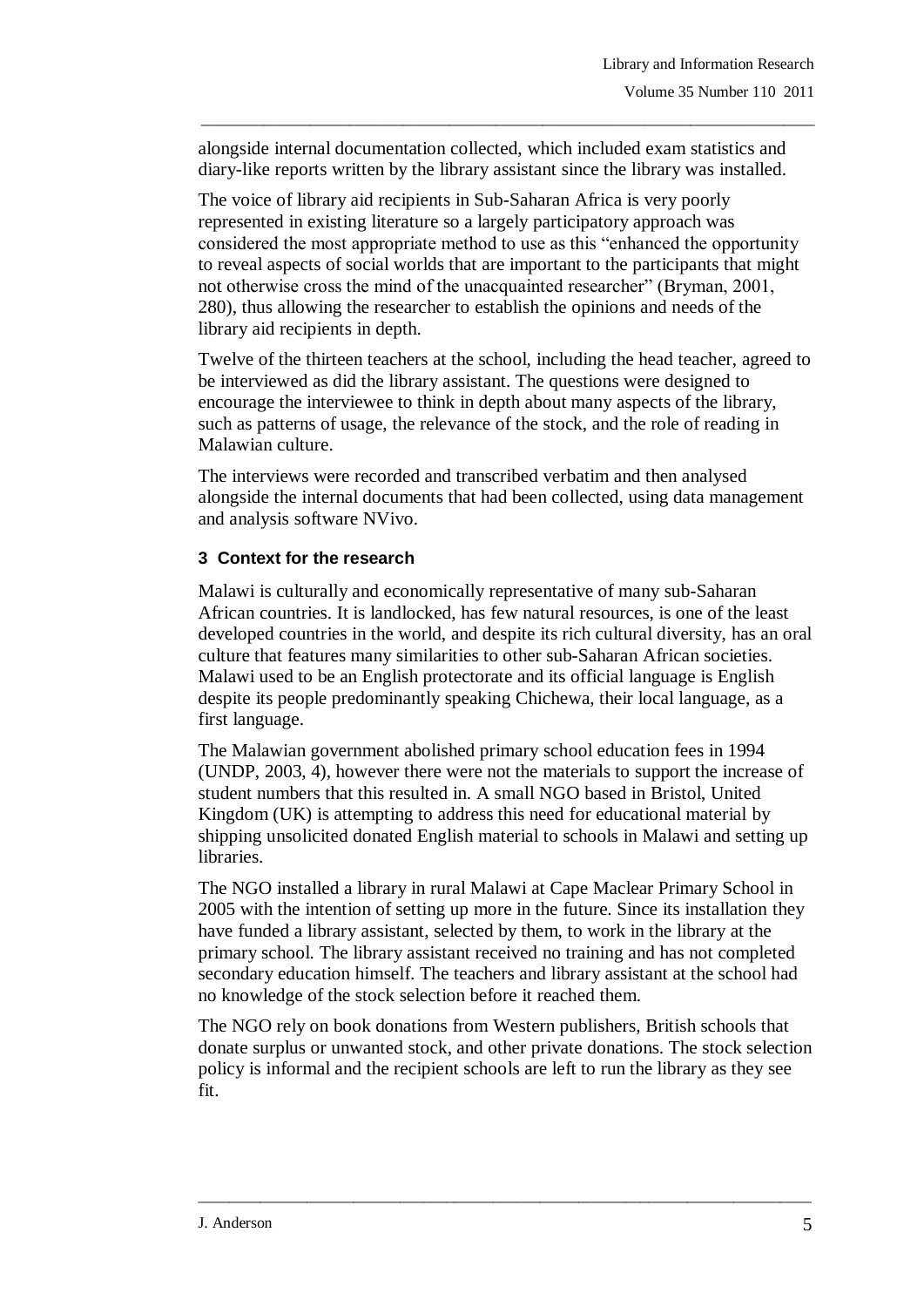alongside internal documentation collected, which included exam statistics and diary-like reports written by the library assistant since the library was installed.

 $\_$  , and the set of the set of the set of the set of the set of the set of the set of the set of the set of the set of the set of the set of the set of the set of the set of the set of the set of the set of the set of th

The voice of library aid recipients in Sub-Saharan Africa is very poorly represented in existing literature so a largely participatory approach was considered the most appropriate method to use as this "enhanced the opportunity to reveal aspects of social worlds that are important to the participants that might not otherwise cross the mind of the unacquainted researcher" (Bryman, 2001, 280), thus allowing the researcher to establish the opinions and needs of the library aid recipients in depth.

Twelve of the thirteen teachers at the school, including the head teacher, agreed to be interviewed as did the library assistant. The questions were designed to encourage the interviewee to think in depth about many aspects of the library, such as patterns of usage, the relevance of the stock, and the role of reading in Malawian culture.

The interviews were recorded and transcribed verbatim and then analysed alongside the internal documents that had been collected, using data management and analysis software NVivo.

### **3 Context for the research**

Malawi is culturally and economically representative of many sub-Saharan African countries. It is landlocked, has few natural resources, is one of the least developed countries in the world, and despite its rich cultural diversity, has an oral culture that features many similarities to other sub-Saharan African societies. Malawi used to be an English protectorate and its official language is English despite its people predominantly speaking Chichewa, their local language, as a first language.

The Malawian government abolished primary school education fees in 1994 (UNDP, 2003, 4), however there were not the materials to support the increase of student numbers that this resulted in. A small NGO based in Bristol, United Kingdom (UK) is attempting to address this need for educational material by shipping unsolicited donated English material to schools in Malawi and setting up libraries.

The NGO installed a library in rural Malawi at Cape Maclear Primary School in 2005 with the intention of setting up more in the future. Since its installation they have funded a library assistant, selected by them, to work in the library at the primary school. The library assistant received no training and has not completed secondary education himself. The teachers and library assistant at the school had no knowledge of the stock selection before it reached them.

The NGO rely on book donations from Western publishers, British schools that donate surplus or unwanted stock, and other private donations. The stock selection policy is informal and the recipient schools are left to run the library as they see fit.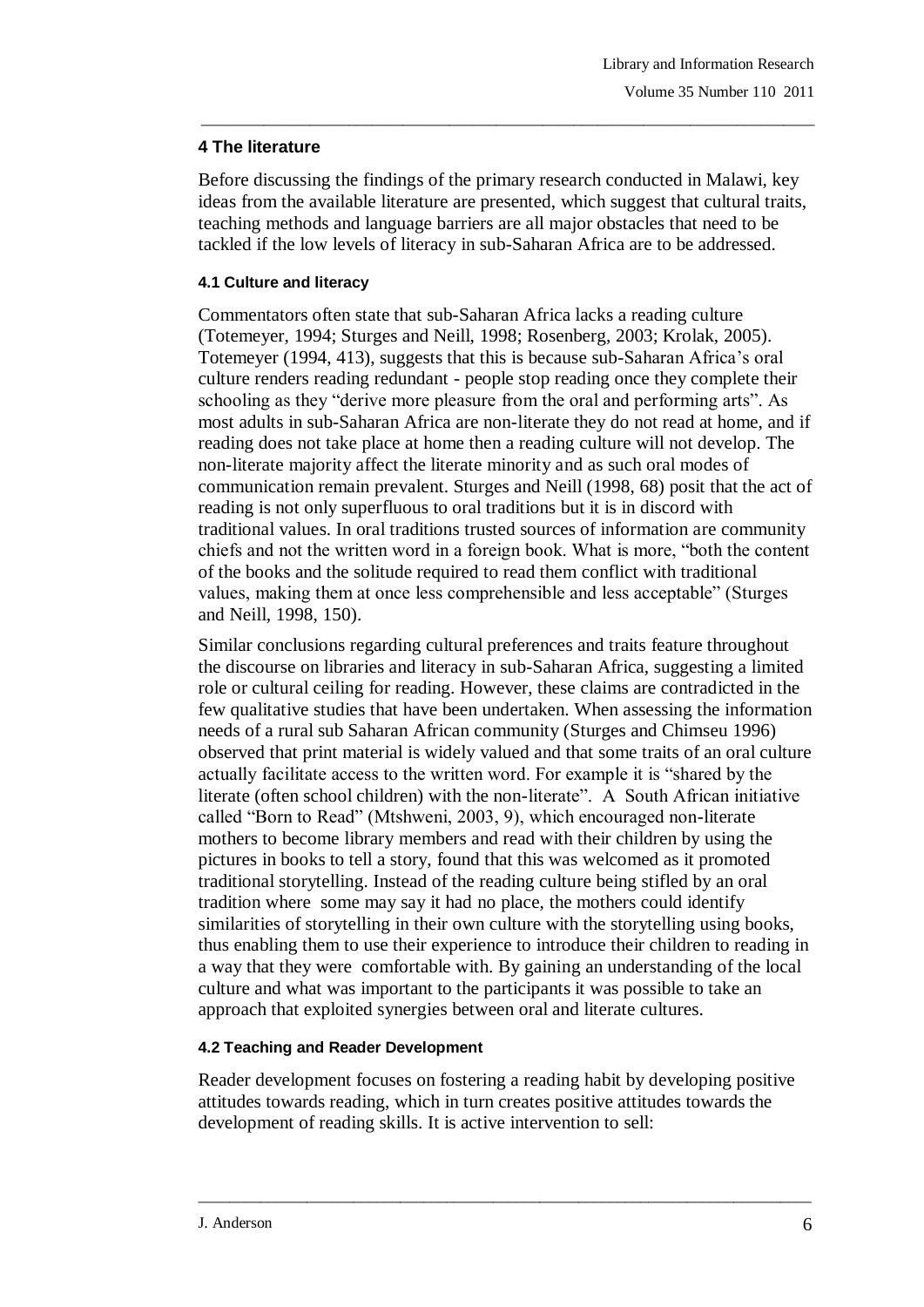### **4 The literature**

Before discussing the findings of the primary research conducted in Malawi, key ideas from the available literature are presented, which suggest that cultural traits, teaching methods and language barriers are all major obstacles that need to be tackled if the low levels of literacy in sub-Saharan Africa are to be addressed.

 $\_$  , and the set of the set of the set of the set of the set of the set of the set of the set of the set of the set of the set of the set of the set of the set of the set of the set of the set of the set of the set of th

### **4.1 Culture and literacy**

Commentators often state that sub-Saharan Africa lacks a reading culture (Totemeyer, 1994; Sturges and Neill, 1998; Rosenberg, 2003; Krolak, 2005). Totemeyer (1994, 413), suggests that this is because sub-Saharan Africa's oral culture renders reading redundant - people stop reading once they complete their schooling as they "derive more pleasure from the oral and performing arts". As most adults in sub-Saharan Africa are non-literate they do not read at home, and if reading does not take place at home then a reading culture will not develop. The non-literate majority affect the literate minority and as such oral modes of communication remain prevalent. Sturges and Neill (1998, 68) posit that the act of reading is not only superfluous to oral traditions but it is in discord with traditional values. In oral traditions trusted sources of information are community chiefs and not the written word in a foreign book. What is more, "both the content of the books and the solitude required to read them conflict with traditional values, making them at once less comprehensible and less acceptable" (Sturges and Neill, 1998, 150).

Similar conclusions regarding cultural preferences and traits feature throughout the discourse on libraries and literacy in sub-Saharan Africa, suggesting a limited role or cultural ceiling for reading. However, these claims are contradicted in the few qualitative studies that have been undertaken. When assessing the information needs of a rural sub Saharan African community (Sturges and Chimseu 1996) observed that print material is widely valued and that some traits of an oral culture actually facilitate access to the written word. For example it is "shared by the literate (often school children) with the non-literate". A South African initiative called "Born to Read" (Mtshweni, 2003, 9), which encouraged non-literate mothers to become library members and read with their children by using the pictures in books to tell a story, found that this was welcomed as it promoted traditional storytelling. Instead of the reading culture being stifled by an oral tradition where some may say it had no place, the mothers could identify similarities of storytelling in their own culture with the storytelling using books, thus enabling them to use their experience to introduce their children to reading in a way that they were comfortable with. By gaining an understanding of the local culture and what was important to the participants it was possible to take an approach that exploited synergies between oral and literate cultures.

### **4.2 Teaching and Reader Development**

Reader development focuses on fostering a reading habit by developing positive attitudes towards reading, which in turn creates positive attitudes towards the development of reading skills. It is active intervention to sell: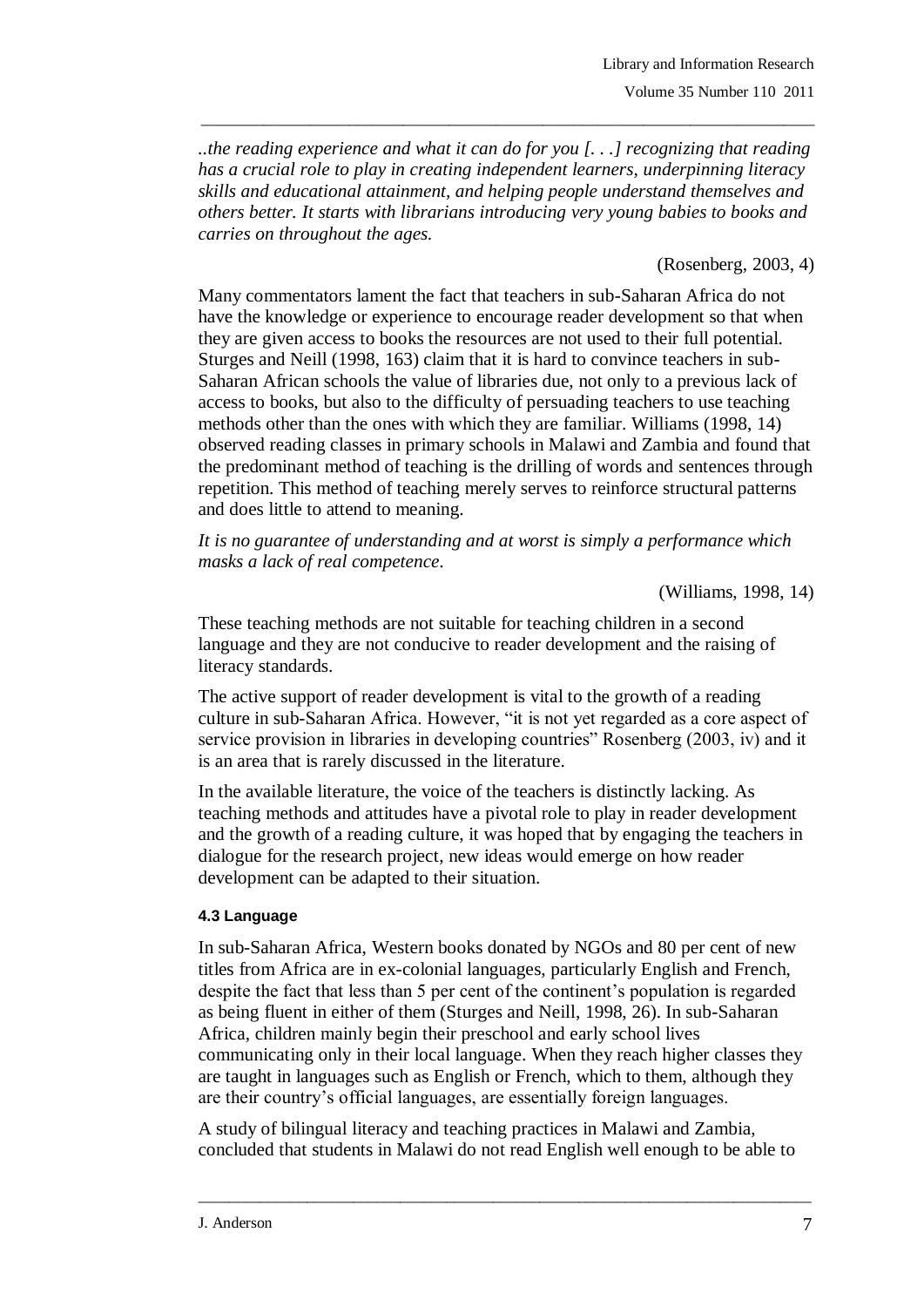*..the reading experience and what it can do for you [. . .] recognizing that reading has a crucial role to play in creating independent learners, underpinning literacy skills and educational attainment, and helping people understand themselves and others better. It starts with librarians introducing very young babies to books and carries on throughout the ages.* 

 $\_$  , and the set of the set of the set of the set of the set of the set of the set of the set of the set of the set of the set of the set of the set of the set of the set of the set of the set of the set of the set of th

### (Rosenberg, 2003, 4)

Many commentators lament the fact that teachers in sub-Saharan Africa do not have the knowledge or experience to encourage reader development so that when they are given access to books the resources are not used to their full potential. Sturges and Neill (1998, 163) claim that it is hard to convince teachers in sub-Saharan African schools the value of libraries due, not only to a previous lack of access to books, but also to the difficulty of persuading teachers to use teaching methods other than the ones with which they are familiar. Williams (1998, 14) observed reading classes in primary schools in Malawi and Zambia and found that the predominant method of teaching is the drilling of words and sentences through repetition. This method of teaching merely serves to reinforce structural patterns and does little to attend to meaning.

*It is no guarantee of understanding and at worst is simply a performance which masks a lack of real competence.*

(Williams, 1998, 14)

These teaching methods are not suitable for teaching children in a second language and they are not conducive to reader development and the raising of literacy standards.

The active support of reader development is vital to the growth of a reading culture in sub-Saharan Africa. However, "it is not yet regarded as a core aspect of service provision in libraries in developing countries" Rosenberg (2003, iv) and it is an area that is rarely discussed in the literature.

In the available literature, the voice of the teachers is distinctly lacking. As teaching methods and attitudes have a pivotal role to play in reader development and the growth of a reading culture, it was hoped that by engaging the teachers in dialogue for the research project, new ideas would emerge on how reader development can be adapted to their situation.

### **4.3 Language**

In sub-Saharan Africa, Western books donated by NGOs and 80 per cent of new titles from Africa are in ex-colonial languages, particularly English and French, despite the fact that less than 5 per cent of the continent's population is regarded as being fluent in either of them (Sturges and Neill, 1998, 26). In sub-Saharan Africa, children mainly begin their preschool and early school lives communicating only in their local language. When they reach higher classes they are taught in languages such as English or French, which to them, although they are their country's official languages, are essentially foreign languages.

A study of bilingual literacy and teaching practices in Malawi and Zambia, concluded that students in Malawi do not read English well enough to be able to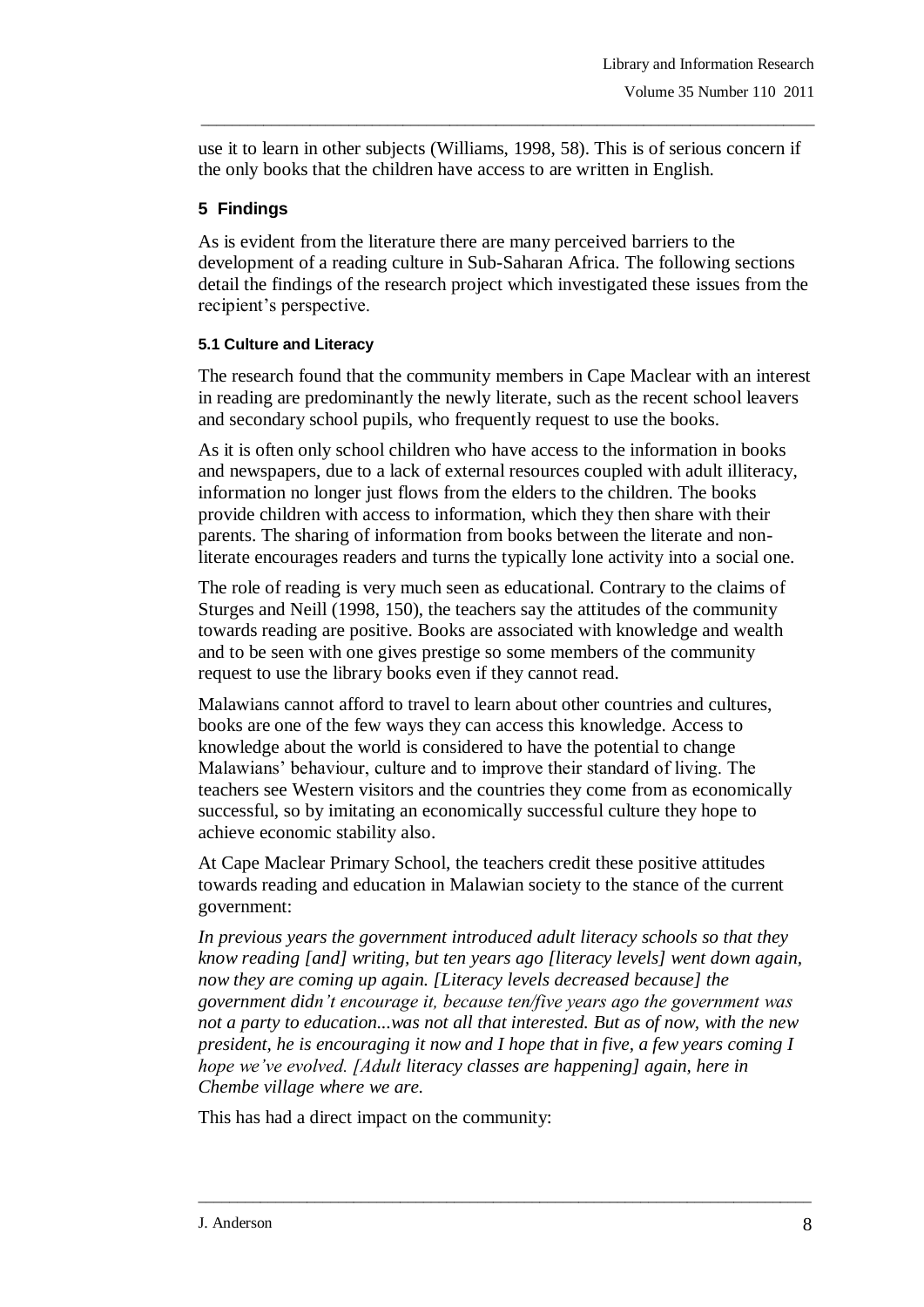use it to learn in other subjects (Williams, 1998, 58). This is of serious concern if the only books that the children have access to are written in English.

 $\_$  , and the set of the set of the set of the set of the set of the set of the set of the set of the set of the set of the set of the set of the set of the set of the set of the set of the set of the set of the set of th

### **5 Findings**

As is evident from the literature there are many perceived barriers to the development of a reading culture in Sub-Saharan Africa. The following sections detail the findings of the research project which investigated these issues from the recipient's perspective.

#### **5.1 Culture and Literacy**

The research found that the community members in Cape Maclear with an interest in reading are predominantly the newly literate, such as the recent school leavers and secondary school pupils, who frequently request to use the books.

As it is often only school children who have access to the information in books and newspapers, due to a lack of external resources coupled with adult illiteracy, information no longer just flows from the elders to the children. The books provide children with access to information, which they then share with their parents. The sharing of information from books between the literate and nonliterate encourages readers and turns the typically lone activity into a social one.

The role of reading is very much seen as educational. Contrary to the claims of Sturges and Neill (1998, 150), the teachers say the attitudes of the community towards reading are positive. Books are associated with knowledge and wealth and to be seen with one gives prestige so some members of the community request to use the library books even if they cannot read.

Malawians cannot afford to travel to learn about other countries and cultures, books are one of the few ways they can access this knowledge. Access to knowledge about the world is considered to have the potential to change Malawians' behaviour, culture and to improve their standard of living. The teachers see Western visitors and the countries they come from as economically successful, so by imitating an economically successful culture they hope to achieve economic stability also.

At Cape Maclear Primary School, the teachers credit these positive attitudes towards reading and education in Malawian society to the stance of the current government:

*In previous years the government introduced adult literacy schools so that they know reading [and] writing, but ten years ago [literacy levels] went down again, now they are coming up again. [Literacy levels decreased because] the government didn't encourage it, because ten/five years ago the government was not a party to education...was not all that interested. But as of now, with the new president, he is encouraging it now and I hope that in five, a few years coming I hope we've evolved. [Adult literacy classes are happening] again, here in Chembe village where we are.*

\_\_\_\_\_\_\_\_\_\_\_\_\_\_\_\_\_\_\_\_\_\_\_\_\_\_\_\_\_\_\_\_\_\_\_\_\_\_\_\_\_\_\_\_\_\_\_\_\_\_\_\_\_\_\_\_\_\_\_\_\_\_\_\_\_\_\_\_\_\_\_\_\_\_\_\_\_\_\_

This has had a direct impact on the community: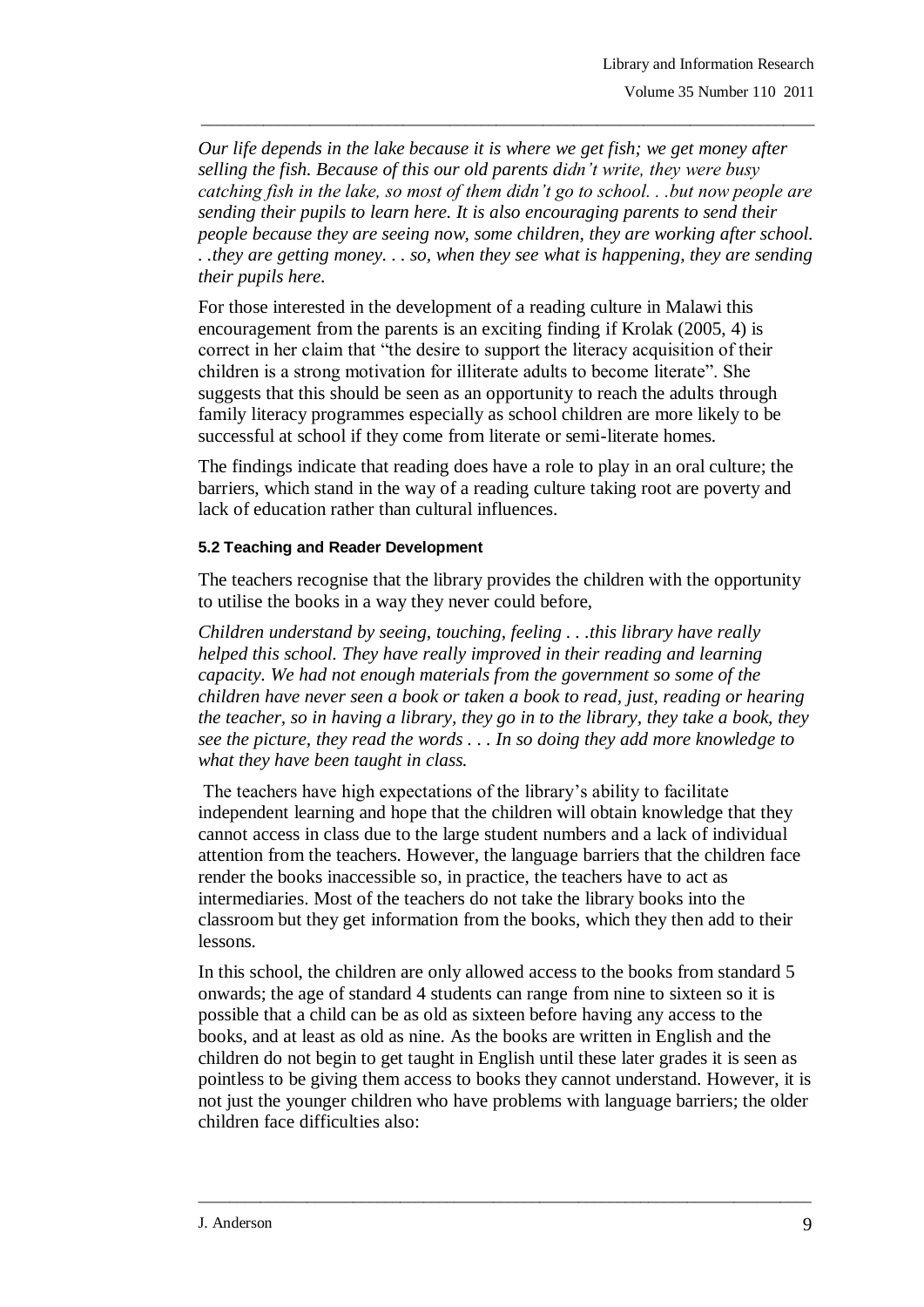*Our life depends in the lake because it is where we get fish; we get money after selling the fish. Because of this our old parents didn't write, they were busy catching fish in the lake, so most of them didn't go to school. . .but now people are sending their pupils to learn here. It is also encouraging parents to send their people because they are seeing now, some children, they are working after school. . .they are getting money. . . so, when they see what is happening, they are sending their pupils here.*

 $\_$  , and the set of the set of the set of the set of the set of the set of the set of the set of the set of the set of the set of the set of the set of the set of the set of the set of the set of the set of the set of th

For those interested in the development of a reading culture in Malawi this encouragement from the parents is an exciting finding if Krolak (2005, 4) is correct in her claim that "the desire to support the literacy acquisition of their children is a strong motivation for illiterate adults to become literate". She suggests that this should be seen as an opportunity to reach the adults through family literacy programmes especially as school children are more likely to be successful at school if they come from literate or semi-literate homes.

The findings indicate that reading does have a role to play in an oral culture; the barriers, which stand in the way of a reading culture taking root are poverty and lack of education rather than cultural influences.

### **5.2 Teaching and Reader Development**

The teachers recognise that the library provides the children with the opportunity to utilise the books in a way they never could before,

*Children understand by seeing, touching, feeling . . .this library have really helped this school. They have really improved in their reading and learning capacity. We had not enough materials from the government so some of the children have never seen a book or taken a book to read, just, reading or hearing the teacher, so in having a library, they go in to the library, they take a book, they see the picture, they read the words . . . In so doing they add more knowledge to what they have been taught in class.*

The teachers have high expectations of the library's ability to facilitate independent learning and hope that the children will obtain knowledge that they cannot access in class due to the large student numbers and a lack of individual attention from the teachers. However, the language barriers that the children face render the books inaccessible so, in practice, the teachers have to act as intermediaries. Most of the teachers do not take the library books into the classroom but they get information from the books, which they then add to their lessons.

In this school, the children are only allowed access to the books from standard 5 onwards; the age of standard 4 students can range from nine to sixteen so it is possible that a child can be as old as sixteen before having any access to the books, and at least as old as nine. As the books are written in English and the children do not begin to get taught in English until these later grades it is seen as pointless to be giving them access to books they cannot understand. However, it is not just the younger children who have problems with language barriers; the older children face difficulties also: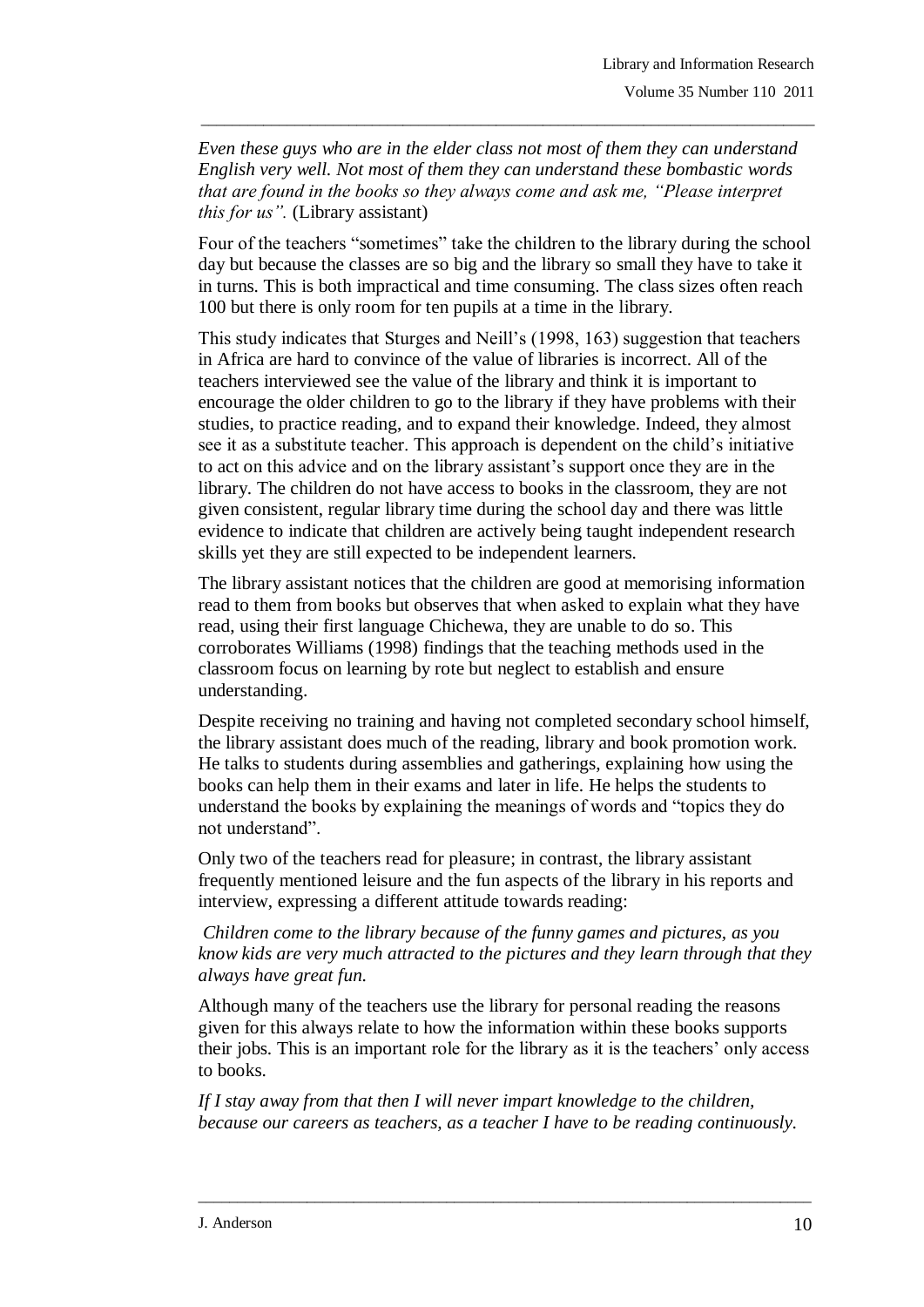*Even these guys who are in the elder class not most of them they can understand English very well. Not most of them they can understand these bombastic words that are found in the books so they always come and ask me, "Please interpret this for us".* (Library assistant)

 $\_$  , and the set of the set of the set of the set of the set of the set of the set of the set of the set of the set of the set of the set of the set of the set of the set of the set of the set of the set of the set of th

Four of the teachers "sometimes" take the children to the library during the school day but because the classes are so big and the library so small they have to take it in turns. This is both impractical and time consuming. The class sizes often reach 100 but there is only room for ten pupils at a time in the library.

This study indicates that Sturges and Neill's (1998, 163) suggestion that teachers in Africa are hard to convince of the value of libraries is incorrect. All of the teachers interviewed see the value of the library and think it is important to encourage the older children to go to the library if they have problems with their studies, to practice reading, and to expand their knowledge. Indeed, they almost see it as a substitute teacher. This approach is dependent on the child's initiative to act on this advice and on the library assistant's support once they are in the library. The children do not have access to books in the classroom, they are not given consistent, regular library time during the school day and there was little evidence to indicate that children are actively being taught independent research skills yet they are still expected to be independent learners.

The library assistant notices that the children are good at memorising information read to them from books but observes that when asked to explain what they have read, using their first language Chichewa, they are unable to do so. This corroborates Williams (1998) findings that the teaching methods used in the classroom focus on learning by rote but neglect to establish and ensure understanding.

Despite receiving no training and having not completed secondary school himself, the library assistant does much of the reading, library and book promotion work. He talks to students during assemblies and gatherings, explaining how using the books can help them in their exams and later in life. He helps the students to understand the books by explaining the meanings of words and "topics they do not understand".

Only two of the teachers read for pleasure; in contrast, the library assistant frequently mentioned leisure and the fun aspects of the library in his reports and interview, expressing a different attitude towards reading:

*Children come to the library because of the funny games and pictures, as you know kids are very much attracted to the pictures and they learn through that they always have great fun.*

Although many of the teachers use the library for personal reading the reasons given for this always relate to how the information within these books supports their jobs. This is an important role for the library as it is the teachers' only access to books.

*If I stay away from that then I will never impart knowledge to the children, because our careers as teachers, as a teacher I have to be reading continuously.*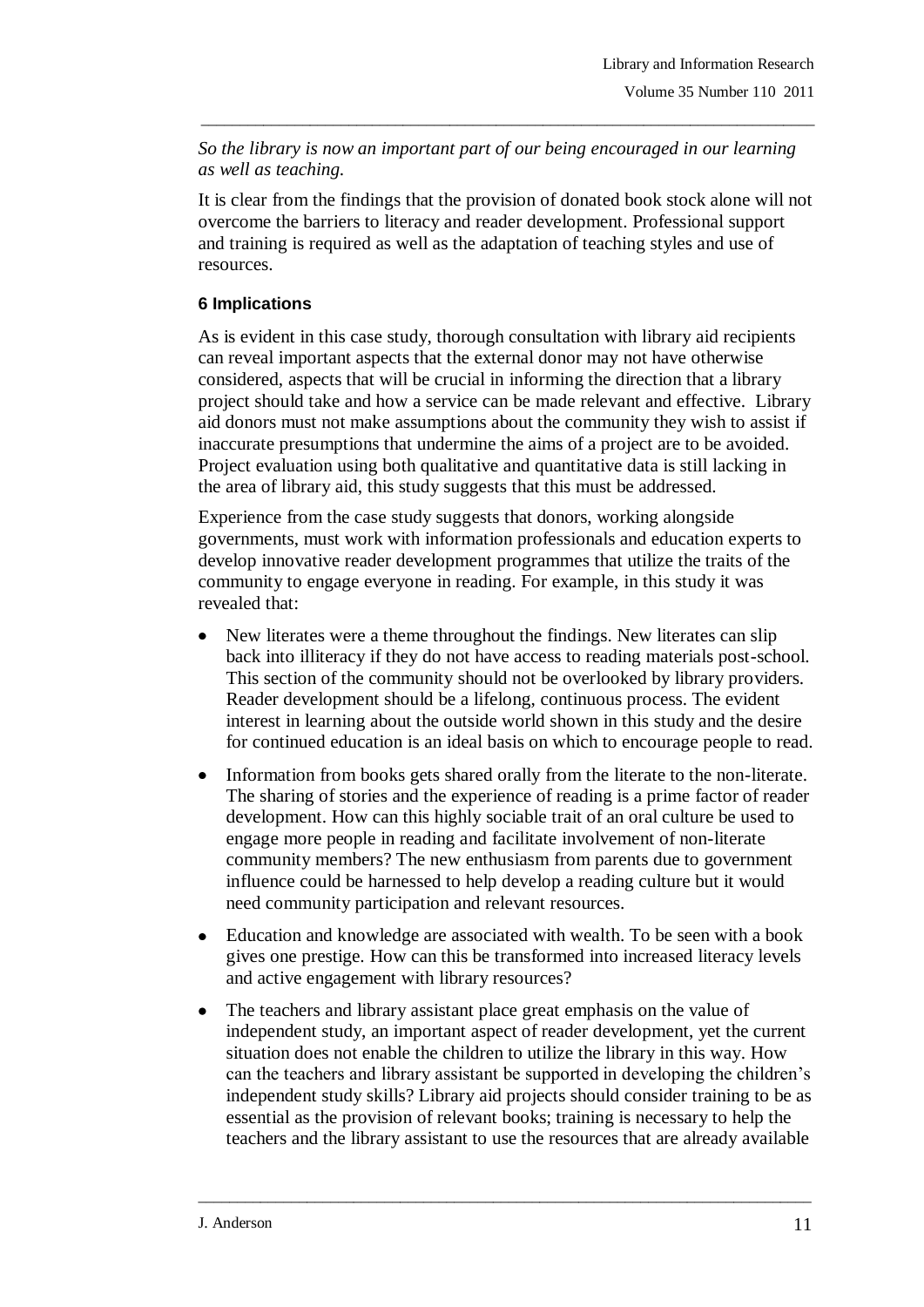*So the library is now an important part of our being encouraged in our learning as well as teaching.* 

 $\_$  , and the set of the set of the set of the set of the set of the set of the set of the set of the set of the set of the set of the set of the set of the set of the set of the set of the set of the set of the set of th

It is clear from the findings that the provision of donated book stock alone will not overcome the barriers to literacy and reader development. Professional support and training is required as well as the adaptation of teaching styles and use of resources.

### **6 Implications**

As is evident in this case study, thorough consultation with library aid recipients can reveal important aspects that the external donor may not have otherwise considered, aspects that will be crucial in informing the direction that a library project should take and how a service can be made relevant and effective. Library aid donors must not make assumptions about the community they wish to assist if inaccurate presumptions that undermine the aims of a project are to be avoided. Project evaluation using both qualitative and quantitative data is still lacking in the area of library aid, this study suggests that this must be addressed.

Experience from the case study suggests that donors, working alongside governments, must work with information professionals and education experts to develop innovative reader development programmes that utilize the traits of the community to engage everyone in reading. For example, in this study it was revealed that:

- New literates were a theme throughout the findings. New literates can slip back into illiteracy if they do not have access to reading materials post-school. This section of the community should not be overlooked by library providers. Reader development should be a lifelong, continuous process. The evident interest in learning about the outside world shown in this study and the desire for continued education is an ideal basis on which to encourage people to read.
- Information from books gets shared orally from the literate to the non-literate. The sharing of stories and the experience of reading is a prime factor of reader development. How can this highly sociable trait of an oral culture be used to engage more people in reading and facilitate involvement of non-literate community members? The new enthusiasm from parents due to government influence could be harnessed to help develop a reading culture but it would need community participation and relevant resources.
- Education and knowledge are associated with wealth. To be seen with a book  $\bullet$ gives one prestige. How can this be transformed into increased literacy levels and active engagement with library resources?
- The teachers and library assistant place great emphasis on the value of independent study, an important aspect of reader development, yet the current situation does not enable the children to utilize the library in this way. How can the teachers and library assistant be supported in developing the children's independent study skills? Library aid projects should consider training to be as essential as the provision of relevant books; training is necessary to help the teachers and the library assistant to use the resources that are already available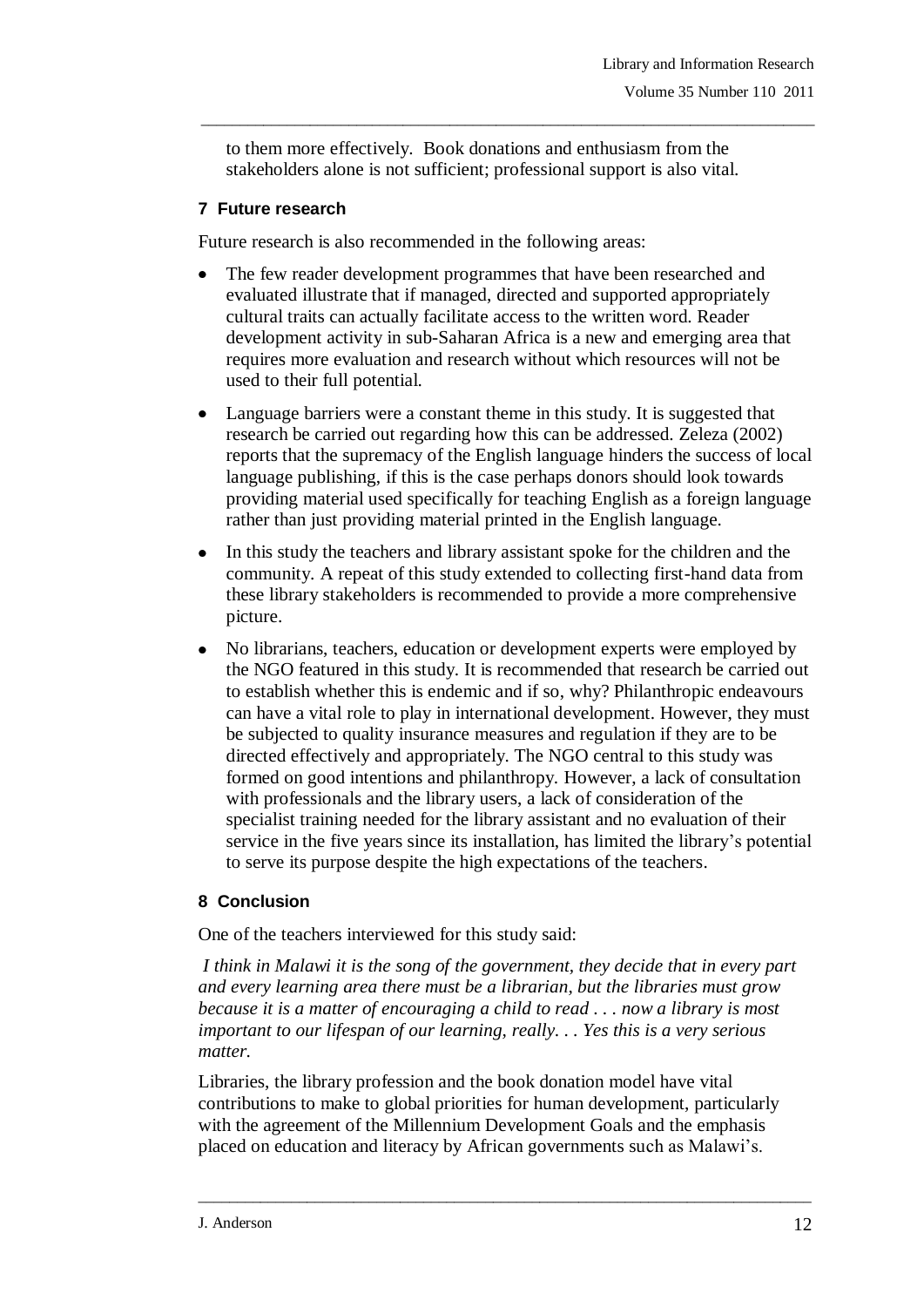to them more effectively. Book donations and enthusiasm from the stakeholders alone is not sufficient; professional support is also vital.

 $\_$  , and the set of the set of the set of the set of the set of the set of the set of the set of the set of the set of the set of the set of the set of the set of the set of the set of the set of the set of the set of th

### **7 Future research**

Future research is also recommended in the following areas:

- The few reader development programmes that have been researched and evaluated illustrate that if managed, directed and supported appropriately cultural traits can actually facilitate access to the written word. Reader development activity in sub-Saharan Africa is a new and emerging area that requires more evaluation and research without which resources will not be used to their full potential.
- Language barriers were a constant theme in this study. It is suggested that research be carried out regarding how this can be addressed. Zeleza (2002) reports that the supremacy of the English language hinders the success of local language publishing, if this is the case perhaps donors should look towards providing material used specifically for teaching English as a foreign language rather than just providing material printed in the English language.
- In this study the teachers and library assistant spoke for the children and the community. A repeat of this study extended to collecting first-hand data from these library stakeholders is recommended to provide a more comprehensive picture.
- No librarians, teachers, education or development experts were employed by the NGO featured in this study. It is recommended that research be carried out to establish whether this is endemic and if so, why? Philanthropic endeavours can have a vital role to play in international development. However, they must be subjected to quality insurance measures and regulation if they are to be directed effectively and appropriately. The NGO central to this study was formed on good intentions and philanthropy. However, a lack of consultation with professionals and the library users, a lack of consideration of the specialist training needed for the library assistant and no evaluation of their service in the five years since its installation, has limited the library's potential to serve its purpose despite the high expectations of the teachers.

### **8 Conclusion**

One of the teachers interviewed for this study said:

*I think in Malawi it is the song of the government, they decide that in every part and every learning area there must be a librarian, but the libraries must grow because it is a matter of encouraging a child to read . . . now a library is most important to our lifespan of our learning, really. . . Yes this is a very serious matter.*

Libraries, the library profession and the book donation model have vital contributions to make to global priorities for human development, particularly with the agreement of the Millennium Development Goals and the emphasis placed on education and literacy by African governments such as Malawi's.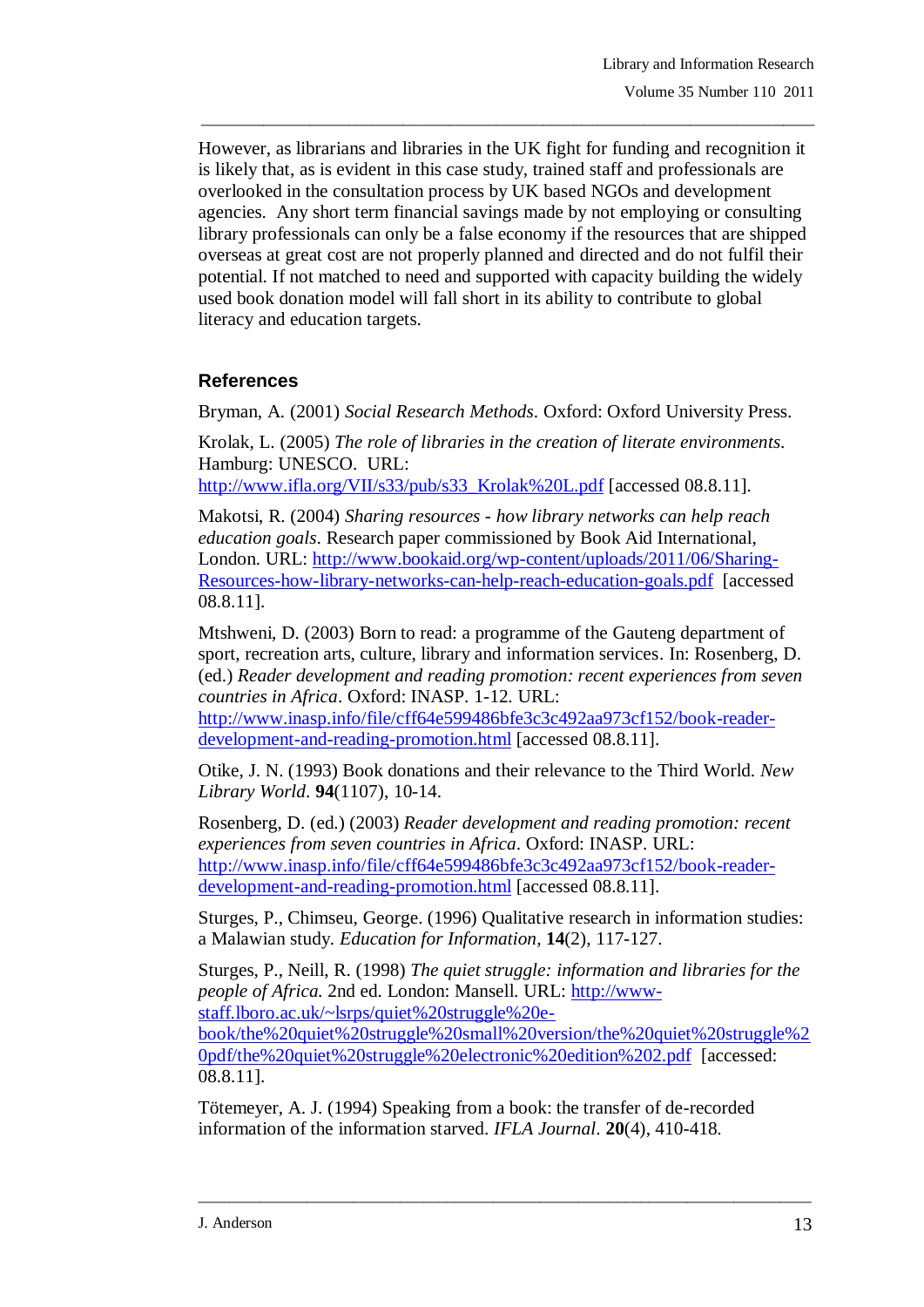However, as librarians and libraries in the UK fight for funding and recognition it is likely that, as is evident in this case study, trained staff and professionals are overlooked in the consultation process by UK based NGOs and development agencies. Any short term financial savings made by not employing or consulting library professionals can only be a false economy if the resources that are shipped overseas at great cost are not properly planned and directed and do not fulfil their potential. If not matched to need and supported with capacity building the widely used book donation model will fall short in its ability to contribute to global literacy and education targets.

 $\_$  , and the set of the set of the set of the set of the set of the set of the set of the set of the set of the set of the set of the set of the set of the set of the set of the set of the set of the set of the set of th

## **References**

Bryman, A. (2001) *Social Research Methods*. Oxford: Oxford University Press.

Krolak, L. (2005) *The role of libraries in the creation of literate environments*. Hamburg: UNESCO. URL:

[http://www.ifla.org/VII/s33/pub/s33\\_Krolak%20L.pdf](http://www.ifla.org/VII/s33/pub/s33_Krolak%20L.pdf) [accessed 08.8.11].

Makotsi, R. (2004) *Sharing resources - how library networks can help reach education goals*. Research paper commissioned by Book Aid International, London. URL: [http://www.bookaid.org/wp-content/uploads/2011/06/Sharing-](http://www.bookaid.org/wp-content/uploads/2011/06/Sharing-Resources-how-library-networks-can-help-reach-education-goals.pdf)[Resources-how-library-networks-can-help-reach-education-goals.pdf](http://www.bookaid.org/wp-content/uploads/2011/06/Sharing-Resources-how-library-networks-can-help-reach-education-goals.pdf) [accessed 08.8.11].

Mtshweni, D. (2003) Born to read: a programme of the Gauteng department of sport, recreation arts, culture, library and information services. In: Rosenberg, D. (ed.) *Reader development and reading promotion: recent experiences from seven countries in Africa*. Oxford: INASP. 1-12. URL:

[http://www.inasp.info/file/cff64e599486bfe3c3c492aa973cf152/book-reader](http://www.inasp.info/file/cff64e599486bfe3c3c492aa973cf152/book-reader-development-and-reading-promotion.html)[development-and-reading-promotion.html](http://www.inasp.info/file/cff64e599486bfe3c3c492aa973cf152/book-reader-development-and-reading-promotion.html) [accessed 08.8.11].

Otike, J. N. (1993) Book donations and their relevance to the Third World. *New Library World*. **94**(1107), 10-14.

Rosenberg, D. (ed.) (2003) *Reader development and reading promotion: recent experiences from seven countries in Africa*. Oxford: INASP. URL: [http://www.inasp.info/file/cff64e599486bfe3c3c492aa973cf152/book-reader](http://www.inasp.info/file/cff64e599486bfe3c3c492aa973cf152/book-reader-development-and-reading-promotion.html)[development-and-reading-promotion.html](http://www.inasp.info/file/cff64e599486bfe3c3c492aa973cf152/book-reader-development-and-reading-promotion.html) [accessed 08.8.11].

Sturges, P., Chimseu, George. (1996) Qualitative research in information studies: a Malawian study. *Education for Information*, **14**(2), 117-127.

Sturges, P., Neill, R. (1998) *The quiet struggle: information and libraries for the people of Africa.* 2nd ed. London: Mansell. URL: [http://www](http://www-staff.lboro.ac.uk/~lsrps/quiet%20struggle%20e-book/the%20quiet%20struggle%20small%20version/the%20quiet%20struggle%20pdf/the%20quiet%20struggle%20electronic%20edition%202.pdf)[staff.lboro.ac.uk/~lsrps/quiet%20struggle%20e-](http://www-staff.lboro.ac.uk/~lsrps/quiet%20struggle%20e-book/the%20quiet%20struggle%20small%20version/the%20quiet%20struggle%20pdf/the%20quiet%20struggle%20electronic%20edition%202.pdf)

[book/the%20quiet%20struggle%20small%20version/the%20quiet%20struggle%2](http://www-staff.lboro.ac.uk/~lsrps/quiet%20struggle%20e-book/the%20quiet%20struggle%20small%20version/the%20quiet%20struggle%20pdf/the%20quiet%20struggle%20electronic%20edition%202.pdf) [0pdf/the%20quiet%20struggle%20electronic%20edition%202.pdf](http://www-staff.lboro.ac.uk/~lsrps/quiet%20struggle%20e-book/the%20quiet%20struggle%20small%20version/the%20quiet%20struggle%20pdf/the%20quiet%20struggle%20electronic%20edition%202.pdf) [accessed: 08.8.11].

\_\_\_\_\_\_\_\_\_\_\_\_\_\_\_\_\_\_\_\_\_\_\_\_\_\_\_\_\_\_\_\_\_\_\_\_\_\_\_\_\_\_\_\_\_\_\_\_\_\_\_\_\_\_\_\_\_\_\_\_\_\_\_\_\_\_\_\_\_\_\_\_\_\_\_\_\_\_\_

Tötemeyer, A. J. (1994) Speaking from a book: the transfer of de-recorded information of the information starved. *IFLA Journal*. **20**(4), 410-418.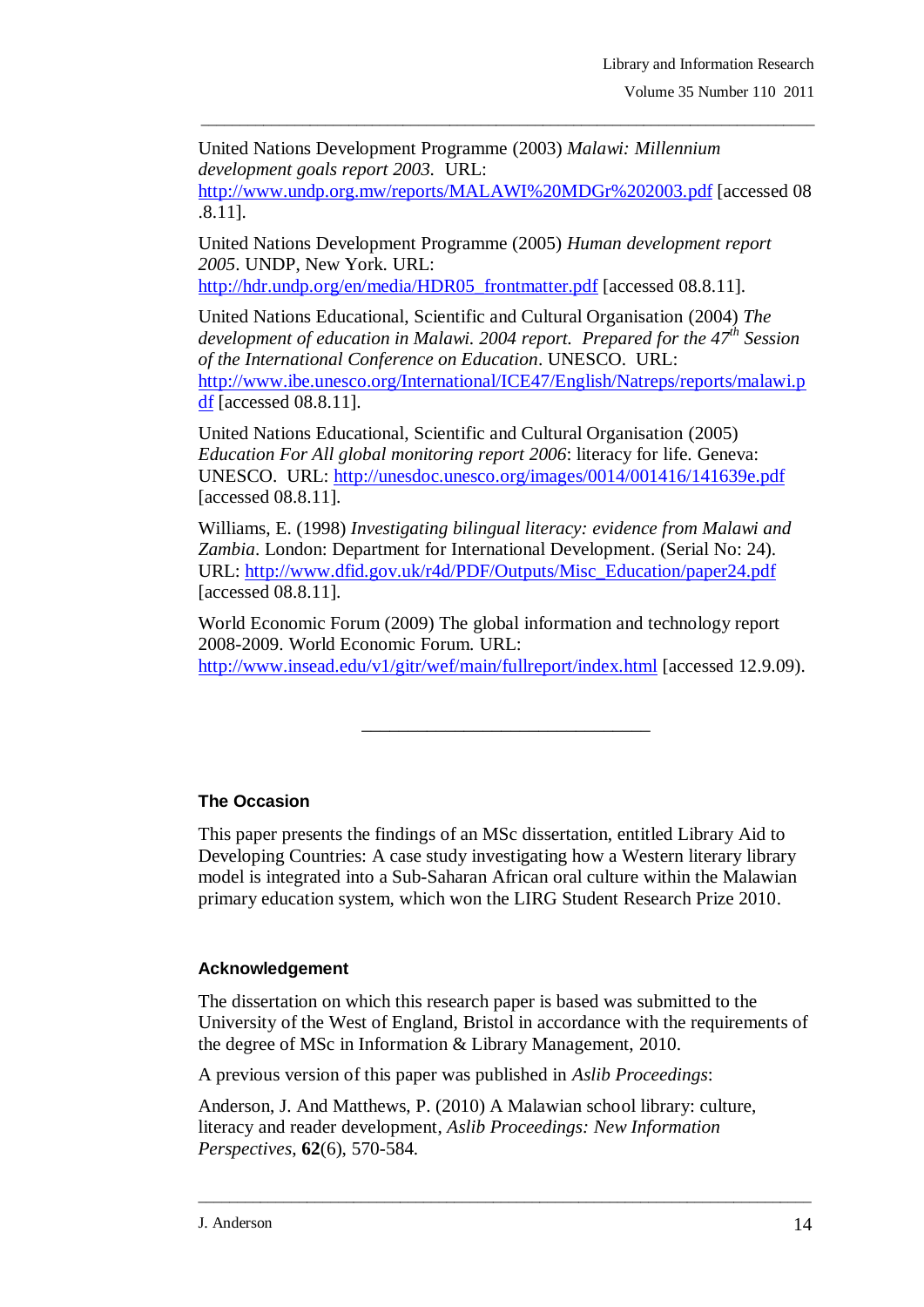United Nations Development Programme (2003) *Malawi: Millennium development goals report 2003.* URL:

<http://www.undp.org.mw/reports/MALAWI%20MDGr%202003.pdf> [accessed 08 .8.11].

 $\_$  , and the set of the set of the set of the set of the set of the set of the set of the set of the set of the set of the set of the set of the set of the set of the set of the set of the set of the set of the set of th

United Nations Development Programme (2005) *Human development report 2005*. UNDP, New York. URL:

[http://hdr.undp.org/en/media/HDR05\\_frontmatter.pdf](http://hdr.undp.org/en/media/HDR05_frontmatter.pdf) [accessed 08.8.11].

United Nations Educational, Scientific and Cultural Organisation (2004) *The development of education in Malawi. 2004 report. Prepared for the 47th Session of the International Conference on Education*. UNESCO. URL: [http://www.ibe.unesco.org/International/ICE47/English/Natreps/reports/malawi.p](http://www.ibe.unesco.org/International/ICE47/English/Natreps/reports/malawi.pdf) [df](http://www.ibe.unesco.org/International/ICE47/English/Natreps/reports/malawi.pdf) [accessed 08.8.11].

United Nations Educational, Scientific and Cultural Organisation (2005) *Education For All global monitoring report 2006*: literacy for life. Geneva: UNESCO. URL:<http://unesdoc.unesco.org/images/0014/001416/141639e.pdf> [accessed 08.8.11].

Williams, E. (1998) *Investigating bilingual literacy: evidence from Malawi and Zambia*. London: Department for International Development. (Serial No: 24). URL: [http://www.dfid.gov.uk/r4d/PDF/Outputs/Misc\\_Education/paper24.pdf](http://www.dfid.gov.uk/r4d/PDF/Outputs/Misc_Education/paper24.pdf) [accessed 08.8.11].

World Economic Forum (2009) The global information and technology report 2008-2009. World Economic Forum. URL:

<http://www.insead.edu/v1/gitr/wef/main/fullreport/index.html> [accessed 12.9.09).

\_\_\_\_\_\_\_\_\_\_\_\_\_\_\_\_\_\_\_\_\_\_\_\_\_\_\_\_\_\_\_

### **The Occasion**

This paper presents the findings of an MSc dissertation, entitled Library Aid to Developing Countries: A case study investigating how a Western literary library model is integrated into a Sub-Saharan African oral culture within the Malawian primary education system, which won the LIRG Student Research Prize 2010.

### **Acknowledgement**

The dissertation on which this research paper is based was submitted to the University of the West of England, Bristol in accordance with the requirements of the degree of MSc in Information & Library Management, 2010.

\_\_\_\_\_\_\_\_\_\_\_\_\_\_\_\_\_\_\_\_\_\_\_\_\_\_\_\_\_\_\_\_\_\_\_\_\_\_\_\_\_\_\_\_\_\_\_\_\_\_\_\_\_\_\_\_\_\_\_\_\_\_\_\_\_\_\_\_\_\_\_\_\_\_\_\_\_\_\_

A previous version of this paper was published in *Aslib Proceedings*:

Anderson, J. And Matthews, P. (2010) A Malawian school library: culture, literacy and reader development, *Aslib Proceedings: New Information Perspectives*, **62**(6), 570-584.